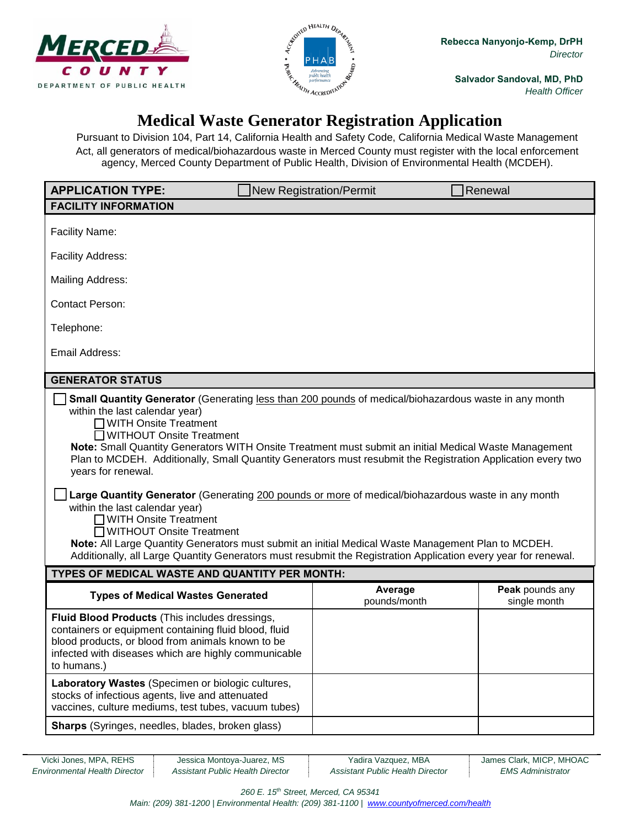



**Salvador Sandoval, MD, PhD** *Health Officer*

## **Medical Waste Generator Registration Application**

Pursuant to Division 104, Part 14, California Health and Safety Code, California Medical Waste Management Act, all generators of medical/biohazardous waste in Merced County must register with the local enforcement agency, Merced County Department of Public Health, Division of Environmental Health (MCDEH).

| <b>APPLICATION TYPE:</b>                                                                                                                                                                                                                                                                                                                                                                                                                                                                                                                                                                                                                                                                                                                                                                                                                                           |  | <b>New Registration/Permit</b> | Renewal                         |  |
|--------------------------------------------------------------------------------------------------------------------------------------------------------------------------------------------------------------------------------------------------------------------------------------------------------------------------------------------------------------------------------------------------------------------------------------------------------------------------------------------------------------------------------------------------------------------------------------------------------------------------------------------------------------------------------------------------------------------------------------------------------------------------------------------------------------------------------------------------------------------|--|--------------------------------|---------------------------------|--|
| <b>FACILITY INFORMATION</b>                                                                                                                                                                                                                                                                                                                                                                                                                                                                                                                                                                                                                                                                                                                                                                                                                                        |  |                                |                                 |  |
| <b>Facility Name:</b>                                                                                                                                                                                                                                                                                                                                                                                                                                                                                                                                                                                                                                                                                                                                                                                                                                              |  |                                |                                 |  |
| <b>Facility Address:</b>                                                                                                                                                                                                                                                                                                                                                                                                                                                                                                                                                                                                                                                                                                                                                                                                                                           |  |                                |                                 |  |
| <b>Mailing Address:</b>                                                                                                                                                                                                                                                                                                                                                                                                                                                                                                                                                                                                                                                                                                                                                                                                                                            |  |                                |                                 |  |
| <b>Contact Person:</b>                                                                                                                                                                                                                                                                                                                                                                                                                                                                                                                                                                                                                                                                                                                                                                                                                                             |  |                                |                                 |  |
| Telephone:                                                                                                                                                                                                                                                                                                                                                                                                                                                                                                                                                                                                                                                                                                                                                                                                                                                         |  |                                |                                 |  |
| Email Address:                                                                                                                                                                                                                                                                                                                                                                                                                                                                                                                                                                                                                                                                                                                                                                                                                                                     |  |                                |                                 |  |
| <b>GENERATOR STATUS</b>                                                                                                                                                                                                                                                                                                                                                                                                                                                                                                                                                                                                                                                                                                                                                                                                                                            |  |                                |                                 |  |
| Small Quantity Generator (Generating less than 200 pounds of medical/biohazardous waste in any month<br>within the last calendar year)<br>□ WITH Onsite Treatment<br>□ WITHOUT Onsite Treatment<br>Note: Small Quantity Generators WITH Onsite Treatment must submit an initial Medical Waste Management<br>Plan to MCDEH. Additionally, Small Quantity Generators must resubmit the Registration Application every two<br>years for renewal.<br>Large Quantity Generator (Generating 200 pounds or more of medical/biohazardous waste in any month<br>within the last calendar year)<br>WITH Onsite Treatment<br>WITHOUT Onsite Treatment<br>Note: All Large Quantity Generators must submit an initial Medical Waste Management Plan to MCDEH.<br>Additionally, all Large Quantity Generators must resubmit the Registration Application every year for renewal. |  |                                |                                 |  |
| TYPES OF MEDICAL WASTE AND QUANTITY PER MONTH:                                                                                                                                                                                                                                                                                                                                                                                                                                                                                                                                                                                                                                                                                                                                                                                                                     |  |                                |                                 |  |
| <b>Types of Medical Wastes Generated</b>                                                                                                                                                                                                                                                                                                                                                                                                                                                                                                                                                                                                                                                                                                                                                                                                                           |  | Average<br>pounds/month        | Peak pounds any<br>single month |  |
| Fluid Blood Products (This includes dressings,<br>containers or equipment containing fluid blood, fluid<br>blood products, or blood from animals known to be<br>infected with diseases which are highly communicable<br>to humans.)                                                                                                                                                                                                                                                                                                                                                                                                                                                                                                                                                                                                                                |  |                                |                                 |  |
| Laboratory Wastes (Specimen or biologic cultures,<br>stocks of infectious agents, live and attenuated<br>vaccines, culture mediums, test tubes, vacuum tubes)                                                                                                                                                                                                                                                                                                                                                                                                                                                                                                                                                                                                                                                                                                      |  |                                |                                 |  |
| <b>Sharps</b> (Syringes, needles, blades, broken glass)                                                                                                                                                                                                                                                                                                                                                                                                                                                                                                                                                                                                                                                                                                                                                                                                            |  |                                |                                 |  |

*Environmental Health Director Assistant Public Health Director Assistant Public Health Director EMS Administrator*

Vicki Jones, MPA, REHS Jessica Montoya-Juarez, MS Yadira Vazquez, MBA James Clark, MICP, MHOAC